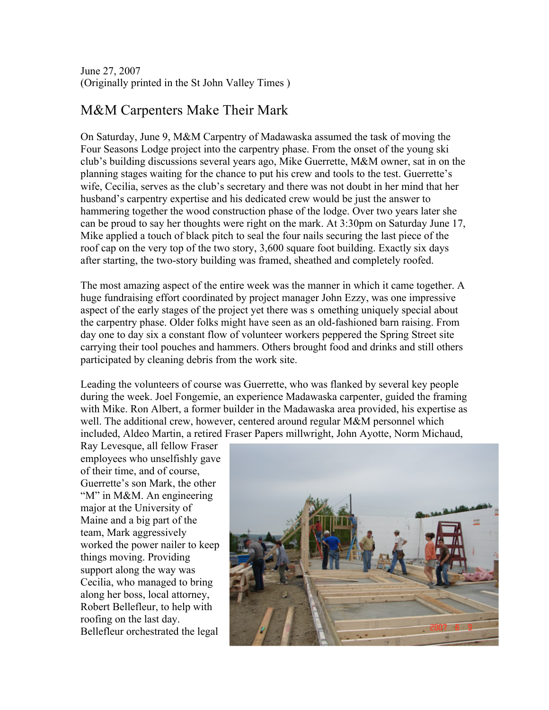June 27, 2007 (Originally printed in the St John Valley Times )

## M&M Carpenters Make Their Mark

On Saturday, June 9, M&M Carpentry of Madawaska assumed the task of moving the Four Seasons Lodge project into the carpentry phase. From the onset of the young ski club's building discussions several years ago, Mike Guerrette, M&M owner, sat in on the planning stages waiting for the chance to put his crew and tools to the test. Guerrette's wife, Cecilia, serves as the club's secretary and there was not doubt in her mind that her husband's carpentry expertise and his dedicated crew would be just the answer to hammering together the wood construction phase of the lodge. Over two years later she can be proud to say her thoughts were right on the mark. At 3:30pm on Saturday June 17, Mike applied a touch of black pitch to seal the four nails securing the last piece of the roof cap on the very top of the two story, 3,600 square foot building. Exactly six days after starting, the two-story building was framed, sheathed and completely roofed.

The most amazing aspect of the entire week was the manner in which it came together. A huge fundraising effort coordinated by project manager John Ezzy, was one impressive aspect of the early stages of the project yet there was s omething uniquely special about the carpentry phase. Older folks might have seen as an old-fashioned barn raising. From day one to day six a constant flow of volunteer workers peppered the Spring Street site carrying their tool pouches and hammers. Others brought food and drinks and still others participated by cleaning debris from the work site.

Leading the volunteers of course was Guerrette, who was flanked by several key people during the week. Joel Fongemie, an experience Madawaska carpenter, guided the framing with Mike. Ron Albert, a former builder in the Madawaska area provided, his expertise as well. The additional crew, however, centered around regular M&M personnel which included, Aldeo Martin, a retired Fraser Papers millwright, John Ayotte, Norm Michaud,

Ray Levesque, all fellow Fraser employees who unselfishly gave of their time, and of course, Guerrette's son Mark, the other "M" in M&M. An engineering major at the University of Maine and a big part of the team, Mark aggressively worked the power nailer to keep things moving. Providing support along the way was Cecilia, who managed to bring along her boss, local attorney, Robert Bellefleur, to help with roofing on the last day. Bellefleur orchestrated the legal